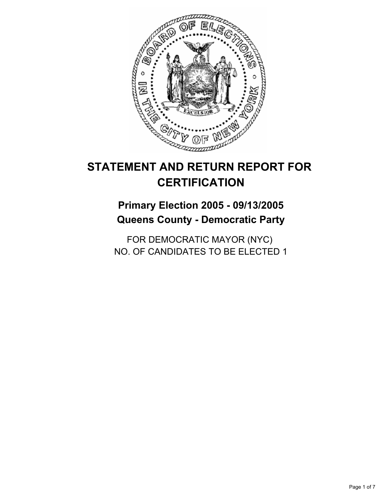

# **Primary Election 2005 - 09/13/2005 Queens County - Democratic Party**

FOR DEMOCRATIC MAYOR (NYC) NO. OF CANDIDATES TO BE ELECTED 1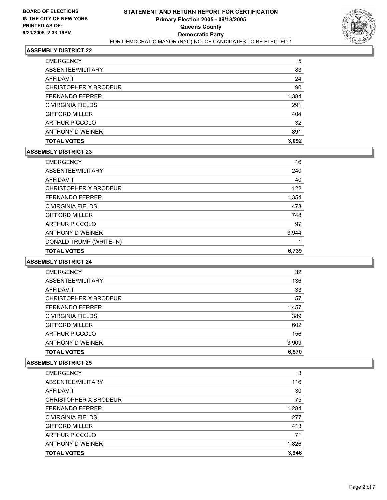

| <b>ARTHUR PICCOLO</b>  | 32    |
|------------------------|-------|
| <b>GIFFORD MILLER</b>  | 404   |
| C VIRGINIA FIELDS      | 291   |
| <b>FERNANDO FERRER</b> | 1,384 |
| CHRISTOPHER X BRODEUR  | 90    |
| AFFIDAVIT              | 24    |
| ABSENTEE/MILITARY      | 83    |
| <b>EMERGENCY</b>       | 5     |

### **ASSEMBLY DISTRICT 23**

| <b>EMERGENCY</b>        | 16    |
|-------------------------|-------|
| ABSENTEE/MILITARY       | 240   |
| AFFIDAVIT               | 40    |
| CHRISTOPHER X BRODEUR   | 122   |
| <b>FERNANDO FERRER</b>  | 1,354 |
| C VIRGINIA FIELDS       | 473   |
| <b>GIFFORD MILLER</b>   | 748   |
| <b>ARTHUR PICCOLO</b>   | 97    |
| ANTHONY D WEINER        | 3,944 |
| DONALD TRUMP (WRITE-IN) |       |
| <b>TOTAL VOTES</b>      | 6,739 |

#### **ASSEMBLY DISTRICT 24**

| <b>TOTAL VOTES</b>     | 6,570 |
|------------------------|-------|
| ANTHONY D WEINER       | 3,909 |
| <b>ARTHUR PICCOLO</b>  | 156   |
| <b>GIFFORD MILLER</b>  | 602   |
| C VIRGINIA FIELDS      | 389   |
| <b>FERNANDO FERRER</b> | 1,457 |
| CHRISTOPHER X BRODEUR  | 57    |
| AFFIDAVIT              | 33    |
| ABSENTEE/MILITARY      | 136   |
| <b>EMERGENCY</b>       | 32    |

| <b>EMERGENCY</b>       | 3     |
|------------------------|-------|
| ABSENTEE/MILITARY      | 116   |
| AFFIDAVIT              | 30    |
| CHRISTOPHER X BRODEUR  | 75    |
| <b>FERNANDO FERRER</b> | 1,284 |
| C VIRGINIA FIELDS      | 277   |
| <b>GIFFORD MILLER</b>  | 413   |
| <b>ARTHUR PICCOLO</b>  | 71    |
| ANTHONY D WEINER       | 1,826 |
| <b>TOTAL VOTES</b>     | 3,946 |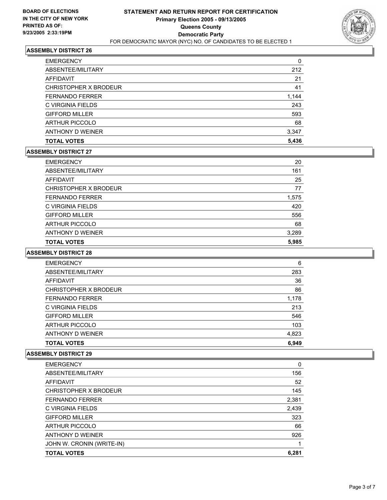

| <b>TOTAL VOTES</b>     | 5,436 |
|------------------------|-------|
| ANTHONY D WEINER       | 3,347 |
| <b>ARTHUR PICCOLO</b>  | 68    |
| <b>GIFFORD MILLER</b>  | 593   |
| C VIRGINIA FIELDS      | 243   |
| <b>FERNANDO FERRER</b> | 1,144 |
| CHRISTOPHER X BRODEUR  | 41    |
| AFFIDAVIT              | 21    |
| ABSENTEE/MILITARY      | 212   |
| <b>EMERGENCY</b>       | 0     |

#### **ASSEMBLY DISTRICT 27**

| <b>TOTAL VOTES</b>     | 5,985 |
|------------------------|-------|
| ANTHONY D WEINER       | 3,289 |
| <b>ARTHUR PICCOLO</b>  | 68    |
| <b>GIFFORD MILLER</b>  | 556   |
| C VIRGINIA FIELDS      | 420   |
| <b>FERNANDO FERRER</b> | 1,575 |
| CHRISTOPHER X BRODEUR  | 77    |
| AFFIDAVIT              | 25    |
| ABSENTEE/MILITARY      | 161   |
| <b>EMERGENCY</b>       | 20    |

#### **ASSEMBLY DISTRICT 28**

| <b>EMERGENCY</b>       | 6     |
|------------------------|-------|
| ABSENTEE/MILITARY      | 283   |
| AFFIDAVIT              | 36    |
| CHRISTOPHER X BRODEUR  | 86    |
| <b>FERNANDO FERRER</b> | 1,178 |
| C VIRGINIA FIELDS      | 213   |
| <b>GIFFORD MILLER</b>  | 546   |
| <b>ARTHUR PICCOLO</b>  | 103   |
| ANTHONY D WEINER       | 4,823 |
| <b>TOTAL VOTES</b>     | 6,949 |

| <b>EMERGENCY</b>          | 0     |
|---------------------------|-------|
| ABSENTEE/MILITARY         | 156   |
| <b>AFFIDAVIT</b>          | 52    |
| CHRISTOPHER X BRODEUR     | 145   |
| <b>FERNANDO FERRER</b>    | 2,381 |
| C VIRGINIA FIELDS         | 2,439 |
| <b>GIFFORD MILLER</b>     | 323   |
| <b>ARTHUR PICCOLO</b>     | 66    |
| ANTHONY D WEINER          | 926   |
| JOHN W. CRONIN (WRITE-IN) |       |
| <b>TOTAL VOTES</b>        | 6.281 |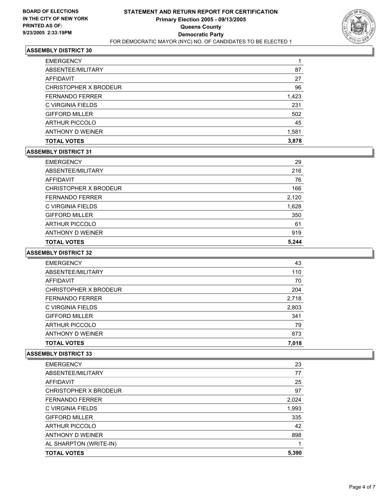

| <b>EMERGENCY</b>       |       |
|------------------------|-------|
| ABSENTEE/MILITARY      | 87    |
| AFFIDAVIT              | 27    |
| CHRISTOPHER X BRODEUR  | 96    |
| <b>FERNANDO FERRER</b> | 1,423 |
| C VIRGINIA FIELDS      | 231   |
| <b>GIFFORD MILLER</b>  | 502   |
| <b>ARTHUR PICCOLO</b>  | 45    |
| ANTHONY D WEINER       | 1,581 |
| <b>TOTAL VOTES</b>     | 3,878 |

#### **ASSEMBLY DISTRICT 31**

| <b>EMERGENCY</b>       | 29    |
|------------------------|-------|
| ABSENTEE/MILITARY      | 216   |
| AFFIDAVIT              | 76    |
| CHRISTOPHER X BRODEUR  | 166   |
| <b>FERNANDO FERRER</b> | 2,120 |
| C VIRGINIA FIELDS      | 1,628 |
| <b>GIFFORD MILLER</b>  | 350   |
| <b>ARTHUR PICCOLO</b>  | 61    |
| ANTHONY D WEINER       | 919   |
| <b>TOTAL VOTES</b>     | 5.244 |

#### **ASSEMBLY DISTRICT 32**

| <b>EMERGENCY</b>       | 43    |  |
|------------------------|-------|--|
| ABSENTEE/MILITARY      | 110   |  |
| AFFIDAVIT              | 70    |  |
| CHRISTOPHER X BRODEUR  | 204   |  |
| <b>FERNANDO FERRER</b> | 2,718 |  |
| C VIRGINIA FIELDS      | 2,803 |  |
| <b>GIFFORD MILLER</b>  | 341   |  |
| <b>ARTHUR PICCOLO</b>  | 79    |  |
| ANTHONY D WEINER       | 873   |  |
| <b>TOTAL VOTES</b>     | 7,018 |  |

| AL SHARPTON (WRITE-IN)<br><b>TOTAL VOTES</b> | 5,390 |
|----------------------------------------------|-------|
|                                              |       |
| ANTHONY D WEINER                             | 898   |
| <b>ARTHUR PICCOLO</b>                        | 42    |
| <b>GIFFORD MILLER</b>                        | 335   |
| C VIRGINIA FIELDS                            | 1,993 |
| <b>FERNANDO FERRER</b>                       | 2,024 |
| CHRISTOPHER X BRODEUR                        | 97    |
| AFFIDAVIT                                    | 25    |
| ABSENTEE/MILITARY                            | 77    |
| <b>EMERGENCY</b>                             | 23    |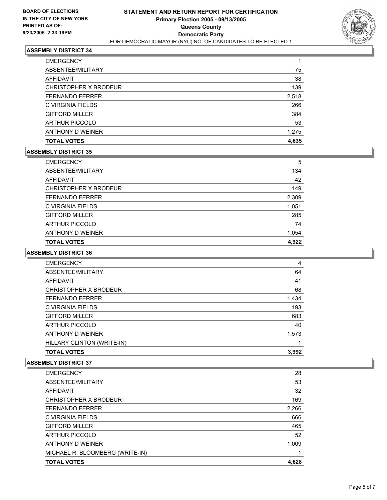

| <b>EMERGENCY</b>       |       |
|------------------------|-------|
| ABSENTEE/MILITARY      | 75    |
| AFFIDAVIT              | 38    |
| CHRISTOPHER X BRODEUR  | 139   |
| <b>FERNANDO FERRER</b> | 2,518 |
| C VIRGINIA FIELDS      | 266   |
| <b>GIFFORD MILLER</b>  | 384   |
| <b>ARTHUR PICCOLO</b>  | 53    |
| ANTHONY D WEINER       | 1,275 |
| <b>TOTAL VOTES</b>     | 4,635 |

### **ASSEMBLY DISTRICT 35**

| <b>EMERGENCY</b>       | 5     |
|------------------------|-------|
| ABSENTEE/MILITARY      | 134   |
| AFFIDAVIT              | 42    |
| CHRISTOPHER X BRODEUR  | 149   |
| <b>FERNANDO FERRER</b> | 2,309 |
| C VIRGINIA FIELDS      | 1,051 |
| <b>GIFFORD MILLER</b>  | 285   |
| <b>ARTHUR PICCOLO</b>  | 74    |
| ANTHONY D WEINER       | 1,054 |
| <b>TOTAL VOTES</b>     | 4.922 |

#### **ASSEMBLY DISTRICT 36**

| <b>EMERGENCY</b>           | 4     |
|----------------------------|-------|
| ABSENTEE/MILITARY          | 64    |
| <b>AFFIDAVIT</b>           | 41    |
| CHRISTOPHER X BRODEUR      | 68    |
| <b>FERNANDO FERRER</b>     | 1,434 |
| C VIRGINIA FIELDS          | 193   |
| <b>GIFFORD MILLER</b>      | 683   |
| <b>ARTHUR PICCOLO</b>      | 40    |
| ANTHONY D WEINER           | 1,573 |
| HILLARY CLINTON (WRITE-IN) |       |
| <b>TOTAL VOTES</b>         | 3,992 |

| MICHAEL R. BLOOMBERG (WRITE-IN)<br><b>TOTAL VOTES</b> | 4,628 |
|-------------------------------------------------------|-------|
| ANTHONY D WEINER                                      | 1,009 |
| <b>ARTHUR PICCOLO</b>                                 | 52    |
| <b>GIFFORD MILLER</b>                                 | 465   |
| C VIRGINIA FIELDS                                     | 666   |
| <b>FERNANDO FERRER</b>                                | 2,266 |
| CHRISTOPHER X BRODEUR                                 | 169   |
| AFFIDAVIT                                             | 32    |
| ABSENTEE/MILITARY                                     | 53    |
| <b>EMERGENCY</b>                                      | 28    |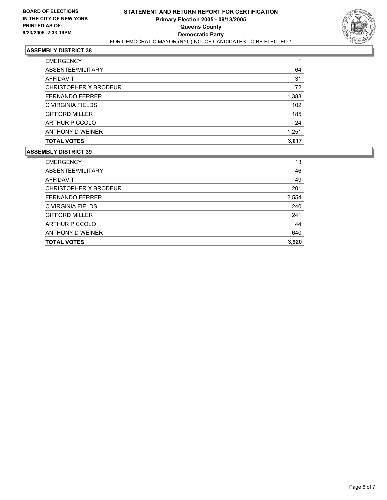

| <b>EMERGENCY</b>       |       |
|------------------------|-------|
| ABSENTEE/MILITARY      | 64    |
| AFFIDAVIT              | 31    |
| CHRISTOPHER X BRODEUR  | 72    |
| <b>FERNANDO FERRER</b> | 1,383 |
| C VIRGINIA FIELDS      | 102   |
| <b>GIFFORD MILLER</b>  | 185   |
| <b>ARTHUR PICCOLO</b>  | 24    |
| ANTHONY D WEINER       | 1,251 |
| <b>TOTAL VOTES</b>     | 3,017 |

| <b>EMERGENCY</b>       | 13    |
|------------------------|-------|
| ABSENTEE/MILITARY      | 46    |
| AFFIDAVIT              | 49    |
| CHRISTOPHER X BRODEUR  | 201   |
| <b>FERNANDO FERRER</b> | 2,554 |
| C VIRGINIA FIELDS      | 240   |
| <b>GIFFORD MILLER</b>  | 241   |
| <b>ARTHUR PICCOLO</b>  | 44    |
| ANTHONY D WEINER       | 640   |
| <b>TOTAL VOTES</b>     | 3,920 |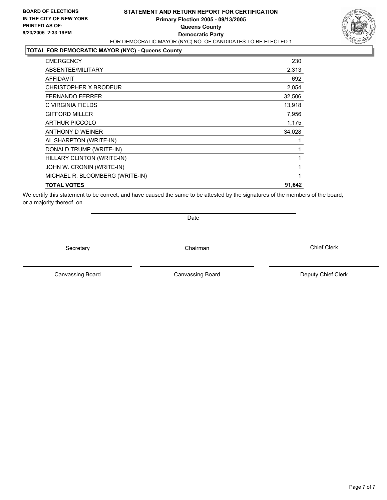### **STATEMENT AND RETURN REPORT FOR CERTIFICATION Primary Election 2005 - 09/13/2005 Queens County Democratic Party** FOR DEMOCRATIC MAYOR (NYC) NO. OF CANDIDATES TO BE ELECTED 1

# **TOTAL FOR DEMOCRATIC MAYOR (NYC) - Queens County**

| <b>EMERGENCY</b>                | 230    |
|---------------------------------|--------|
| ABSENTEE/MILITARY               | 2,313  |
| <b>AFFIDAVIT</b>                | 692    |
| CHRISTOPHER X BRODEUR           | 2,054  |
| <b>FERNANDO FERRER</b>          | 32,506 |
| C VIRGINIA FIELDS               | 13,918 |
| <b>GIFFORD MILLER</b>           | 7,956  |
| <b>ARTHUR PICCOLO</b>           | 1,175  |
| ANTHONY D WEINER                | 34,028 |
| AL SHARPTON (WRITE-IN)          |        |
| DONALD TRUMP (WRITE-IN)         |        |
| HILLARY CLINTON (WRITE-IN)      |        |
| JOHN W. CRONIN (WRITE-IN)       |        |
| MICHAEL R. BLOOMBERG (WRITE-IN) |        |
| <b>TOTAL VOTES</b>              | 91,642 |
|                                 |        |

We certify this statement to be correct, and have caused the same to be attested by the signatures of the members of the board, or a majority thereof, on

Date

Secretary Chairman

Canvassing Board

Canvassing Board **Canvassing Board** Canvassing Board **Deputy Chief Clerk** 

Chief Clerk

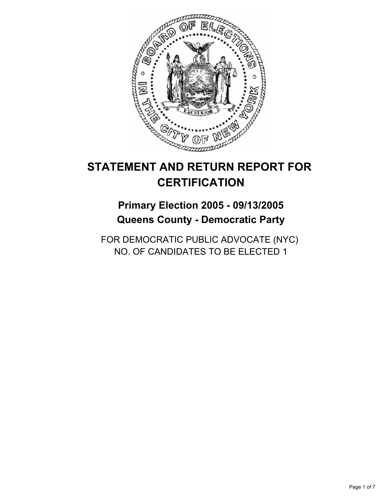

# **Primary Election 2005 - 09/13/2005 Queens County - Democratic Party**

FOR DEMOCRATIC PUBLIC ADVOCATE (NYC) NO. OF CANDIDATES TO BE ELECTED 1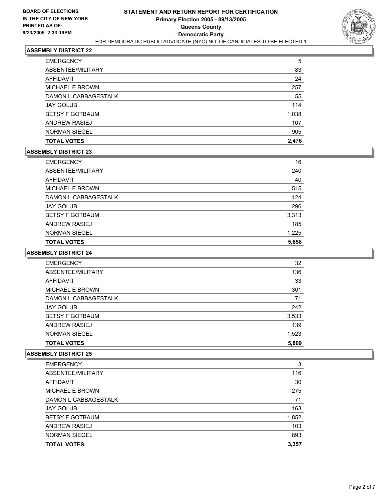

| <b>TOTAL VOTES</b>     | 2,476 |
|------------------------|-------|
| <b>NORMAN SIEGEL</b>   | 905   |
| ANDREW RASIEJ          | 107   |
| <b>BETSY F GOTBAUM</b> | 1,038 |
| <b>JAY GOLUB</b>       | 114   |
| DAMON L CABBAGESTALK   | 55    |
| <b>MICHAEL E BROWN</b> | 257   |
| AFFIDAVIT              | 24    |
| ABSENTEE/MILITARY      | 83    |
| <b>EMERGENCY</b>       | 5     |

### **ASSEMBLY DISTRICT 23**

| <b>EMERGENCY</b>       | 16    |
|------------------------|-------|
| ABSENTEE/MILITARY      | 240   |
| AFFIDAVIT              | 40    |
| MICHAEL E BROWN        | 515   |
| DAMON L CABBAGESTALK   | 124   |
| <b>JAY GOLUB</b>       | 296   |
| <b>BETSY F GOTBAUM</b> | 3,313 |
| ANDREW RASIEJ          | 185   |
| <b>NORMAN SIEGEL</b>   | 1,225 |
| <b>TOTAL VOTES</b>     | 5,658 |

# **ASSEMBLY DISTRICT 24**

| 32<br><b>EMERGENCY</b>          |
|---------------------------------|
| ABSENTEE/MILITARY<br>136        |
| 33<br>AFFIDAVIT                 |
| <b>MICHAEL E BROWN</b><br>301   |
| DAMON L CABBAGESTALK<br>71      |
| <b>JAY GOLUB</b><br>242         |
| <b>BETSY F GOTBAUM</b><br>3,533 |
| 139<br>ANDREW RASIEJ            |
| <b>NORMAN SIEGEL</b><br>1,523   |
| 5,809<br><b>TOTAL VOTES</b>     |

| <b>EMERGENCY</b>       | 3     |
|------------------------|-------|
| ABSENTEE/MILITARY      | 116   |
| AFFIDAVIT              | 30    |
| <b>MICHAEL E BROWN</b> | 275   |
| DAMON L CABBAGESTALK   | 71    |
| <b>JAY GOLUB</b>       | 163   |
| <b>BETSY F GOTBAUM</b> | 1,852 |
| ANDREW RASIEJ          | 103   |
| <b>NORMAN SIEGEL</b>   | 893   |
| <b>TOTAL VOTES</b>     | 3,357 |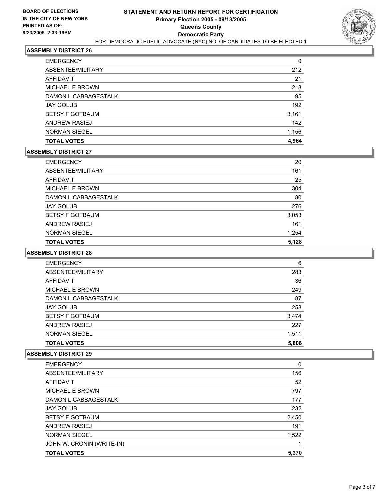

| <b>TOTAL VOTES</b>     | 4,964 |
|------------------------|-------|
| <b>NORMAN SIEGEL</b>   | 1,156 |
| <b>ANDREW RASIEJ</b>   | 142   |
| <b>BETSY F GOTBAUM</b> | 3,161 |
| <b>JAY GOLUB</b>       | 192   |
| DAMON L CABBAGESTALK   | 95    |
| <b>MICHAEL E BROWN</b> | 218   |
| AFFIDAVIT              | 21    |
| ABSENTEE/MILITARY      | 212   |
| <b>EMERGENCY</b>       | 0     |

#### **ASSEMBLY DISTRICT 27**

| <b>EMERGENCY</b>       | 20    |
|------------------------|-------|
| ABSENTEE/MILITARY      | 161   |
| AFFIDAVIT              | 25    |
| MICHAEL E BROWN        | 304   |
| DAMON L CABBAGESTALK   | 80    |
| <b>JAY GOLUB</b>       | 276   |
| <b>BETSY F GOTBAUM</b> | 3,053 |
| <b>ANDREW RASIEJ</b>   | 161   |
| <b>NORMAN SIEGEL</b>   | 1,254 |
| <b>TOTAL VOTES</b>     | 5,128 |

# **ASSEMBLY DISTRICT 28**

| <b>EMERGENCY</b>       | 6     |  |
|------------------------|-------|--|
| ABSENTEE/MILITARY      | 283   |  |
| AFFIDAVIT              | 36    |  |
| <b>MICHAEL E BROWN</b> | 249   |  |
| DAMON L CABBAGESTALK   | 87    |  |
| <b>JAY GOLUB</b>       | 258   |  |
| <b>BETSY F GOTBAUM</b> | 3,474 |  |
| <b>ANDREW RASIEJ</b>   | 227   |  |
| <b>NORMAN SIEGEL</b>   | 1,511 |  |
| <b>TOTAL VOTES</b>     | 5,806 |  |

| <b>TOTAL VOTES</b>        | 5,370 |
|---------------------------|-------|
| JOHN W. CRONIN (WRITE-IN) |       |
| <b>NORMAN SIEGEL</b>      | 1,522 |
| <b>ANDREW RASIEJ</b>      | 191   |
| <b>BETSY F GOTBAUM</b>    | 2,450 |
| <b>JAY GOLUB</b>          | 232   |
| DAMON L CABBAGESTALK      | 177   |
| MICHAEL E BROWN           | 797   |
| AFFIDAVIT                 | 52    |
| ABSENTEE/MILITARY         | 156   |
| <b>EMERGENCY</b>          | 0     |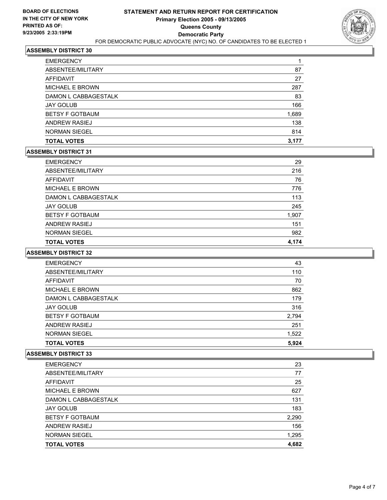

| <b>TOTAL VOTES</b>     | 3,177 |
|------------------------|-------|
| <b>NORMAN SIEGEL</b>   | 814   |
| <b>ANDREW RASIEJ</b>   | 138   |
| <b>BETSY F GOTBAUM</b> | 1,689 |
| <b>JAY GOLUB</b>       | 166   |
| DAMON L CABBAGESTALK   | 83    |
| <b>MICHAEL E BROWN</b> | 287   |
| AFFIDAVIT              | 27    |
| ABSENTEE/MILITARY      | 87    |
| <b>EMERGENCY</b>       |       |

#### **ASSEMBLY DISTRICT 31**

| <b>EMERGENCY</b>       | 29    |
|------------------------|-------|
| ABSENTEE/MILITARY      | 216   |
| AFFIDAVIT              | 76    |
| <b>MICHAEL E BROWN</b> | 776   |
| DAMON L CABBAGESTALK   | 113   |
| <b>JAY GOLUB</b>       | 245   |
| <b>BETSY F GOTBAUM</b> | 1,907 |
| <b>ANDREW RASIEJ</b>   | 151   |
| <b>NORMAN SIEGEL</b>   | 982   |
| <b>TOTAL VOTES</b>     | 4,174 |

# **ASSEMBLY DISTRICT 32**

| <b>EMERGENCY</b>       | 43    |
|------------------------|-------|
| ABSENTEE/MILITARY      | 110   |
| <b>AFFIDAVIT</b>       | 70    |
| <b>MICHAEL E BROWN</b> | 862   |
| DAMON L CABBAGESTALK   | 179   |
| <b>JAY GOLUB</b>       | 316   |
| <b>BETSY F GOTBAUM</b> | 2,794 |
| ANDREW RASIEJ          | 251   |
| <b>NORMAN SIEGEL</b>   | 1,522 |
| <b>TOTAL VOTES</b>     | 5,924 |

| <b>EMERGENCY</b>       | 23    |
|------------------------|-------|
| ABSENTEE/MILITARY      | 77    |
| AFFIDAVIT              | 25    |
| <b>MICHAEL E BROWN</b> | 627   |
| DAMON L CABBAGESTALK   | 131   |
| <b>JAY GOLUB</b>       | 183   |
| <b>BETSY F GOTBAUM</b> | 2,290 |
| ANDREW RASIEJ          | 156   |
| <b>NORMAN SIEGEL</b>   | 1,295 |
| <b>TOTAL VOTES</b>     | 4,682 |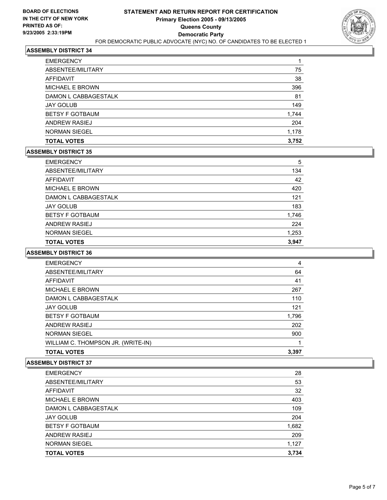

| <b>NORMAN SIEGEL</b>   | 1,178 |
|------------------------|-------|
| <b>ANDREW RASIEJ</b>   | 204   |
| <b>BETSY F GOTBAUM</b> | 1,744 |
| <b>JAY GOLUB</b>       | 149   |
| DAMON L CABBAGESTALK   | 81    |
| <b>MICHAEL E BROWN</b> | 396   |
| AFFIDAVIT              | 38    |
| ABSENTEE/MILITARY      | 75    |
| <b>EMERGENCY</b>       |       |

#### **ASSEMBLY DISTRICT 35**

| <b>EMERGENCY</b>       | 5     |
|------------------------|-------|
| ABSENTEE/MILITARY      | 134   |
| AFFIDAVIT              | 42    |
| <b>MICHAEL E BROWN</b> | 420   |
| DAMON L CABBAGESTALK   | 121   |
| <b>JAY GOLUB</b>       | 183   |
| <b>BETSY F GOTBAUM</b> | 1,746 |
| ANDREW RASIEJ          | 224   |
| <b>NORMAN SIEGEL</b>   | 1,253 |
| <b>TOTAL VOTES</b>     | 3,947 |

#### **ASSEMBLY DISTRICT 36**

| <b>EMERGENCY</b>                   | 4     |
|------------------------------------|-------|
| ABSENTEE/MILITARY                  | 64    |
| AFFIDAVIT                          | 41    |
| <b>MICHAEL E BROWN</b>             | 267   |
| DAMON L CABBAGESTALK               | 110   |
| <b>JAY GOLUB</b>                   | 121   |
| <b>BETSY F GOTBAUM</b>             | 1,796 |
| ANDREW RASIEJ                      | 202   |
| <b>NORMAN SIEGEL</b>               | 900   |
| WILLIAM C. THOMPSON JR. (WRITE-IN) |       |
| <b>TOTAL VOTES</b>                 | 3.397 |

| <b>EMERGENCY</b>       | 28    |
|------------------------|-------|
| ABSENTEE/MILITARY      | 53    |
| AFFIDAVIT              | 32    |
| MICHAEL E BROWN        | 403   |
| DAMON L CABBAGESTALK   | 109   |
| <b>JAY GOLUB</b>       | 204   |
| <b>BETSY F GOTBAUM</b> | 1,682 |
| ANDREW RASIEJ          | 209   |
| <b>NORMAN SIEGEL</b>   | 1,127 |
| <b>TOTAL VOTES</b>     | 3,734 |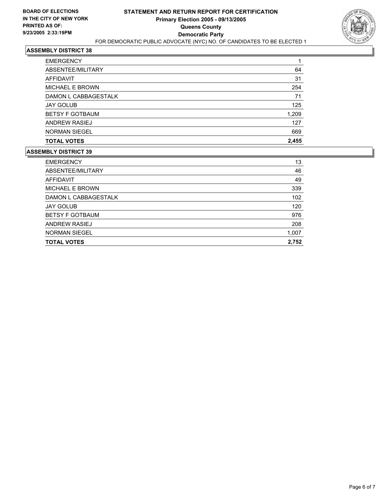

| <b>TOTAL VOTES</b>     | 2,455 |
|------------------------|-------|
| <b>NORMAN SIEGEL</b>   | 669   |
| <b>ANDREW RASIEJ</b>   | 127   |
| <b>BETSY F GOTBAUM</b> | 1,209 |
| <b>JAY GOLUB</b>       | 125   |
| DAMON L CABBAGESTALK   | 71    |
| <b>MICHAEL E BROWN</b> | 254   |
| AFFIDAVIT              | 31    |
| ABSENTEE/MILITARY      | 64    |
| <b>EMERGENCY</b>       |       |

| <b>EMERGENCY</b>       | 13    |
|------------------------|-------|
| ABSENTEE/MILITARY      | 46    |
| AFFIDAVIT              | 49    |
| <b>MICHAEL E BROWN</b> | 339   |
| DAMON L CABBAGESTALK   | 102   |
| <b>JAY GOLUB</b>       | 120   |
| <b>BETSY F GOTBAUM</b> | 976   |
| ANDREW RASIEJ          | 208   |
| <b>NORMAN SIEGEL</b>   | 1,007 |
| <b>TOTAL VOTES</b>     | 2,752 |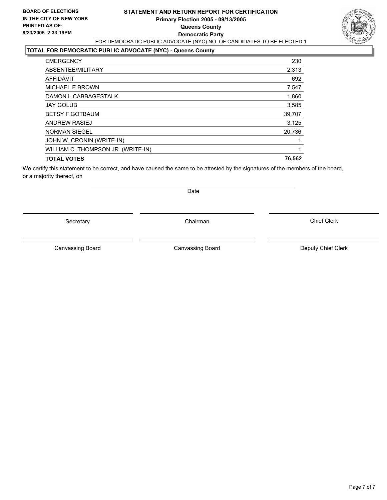### **STATEMENT AND RETURN REPORT FOR CERTIFICATION Primary Election 2005 - 09/13/2005 Queens County Democratic Party** FOR DEMOCRATIC PUBLIC ADVOCATE (NYC) NO. OF CANDIDATES TO BE ELECTED 1



# **TOTAL FOR DEMOCRATIC PUBLIC ADVOCATE (NYC) - Queens County**

| 230    |
|--------|
| 2,313  |
| 692    |
| 7,547  |
| 1,860  |
| 3,585  |
| 39,707 |
| 3,125  |
| 20,736 |
|        |
|        |
| 76,562 |
|        |

We certify this statement to be correct, and have caused the same to be attested by the signatures of the members of the board, or a majority thereof, on

Secretary **Chairman** 

Date

Canvassing Board **Canvassing Board** Canvassing Board **Deputy Chief Clerk** 

Canvassing Board

Chief Clerk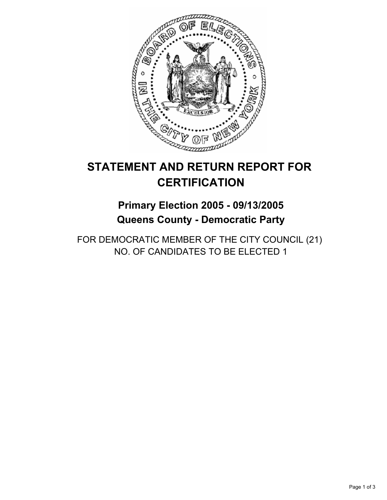

# **Primary Election 2005 - 09/13/2005 Queens County - Democratic Party**

FOR DEMOCRATIC MEMBER OF THE CITY COUNCIL (21) NO. OF CANDIDATES TO BE ELECTED 1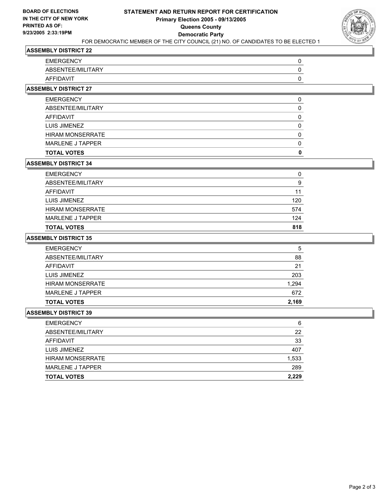

| <b>EMERGENCY</b>  |  |
|-------------------|--|
| ABSENTEE/MILITARY |  |
| <b>AFFIDAVIT</b>  |  |

# **ASSEMBLY DISTRICT 27**

| <b>EMERGENCY</b>        |  |
|-------------------------|--|
| ABSENTEE/MILITARY       |  |
| AFFIDAVIT               |  |
| LUIS JIMENEZ            |  |
| <b>HIRAM MONSERRATE</b> |  |
| MARLENE J TAPPER        |  |
| <b>TOTAL VOTES</b>      |  |

### **ASSEMBLY DISTRICT 34**

| <b>TOTAL VOTES</b>      | 818 |
|-------------------------|-----|
| MARLENE J TAPPER        | 124 |
| <b>HIRAM MONSERRATE</b> | 574 |
| LUIS JIMENEZ            | 120 |
| AFFIDAVIT               | 11  |
| ABSENTEE/MILITARY       | 9   |
| <b>EMERGENCY</b>        | 0   |

### **ASSEMBLY DISTRICT 35**

| <b>EMERGENCY</b>        | 5     |
|-------------------------|-------|
| ABSENTEE/MILITARY       | 88    |
| AFFIDAVIT               | 21    |
| LUIS JIMENEZ            | 203   |
| <b>HIRAM MONSERRATE</b> | 1,294 |
| <b>MARLENE J TAPPER</b> | 672   |
| <b>TOTAL VOTES</b>      | 2,169 |

| 6     |
|-------|
| 22    |
| 33    |
| 407   |
| 1,533 |
| 289   |
| 2,229 |
|       |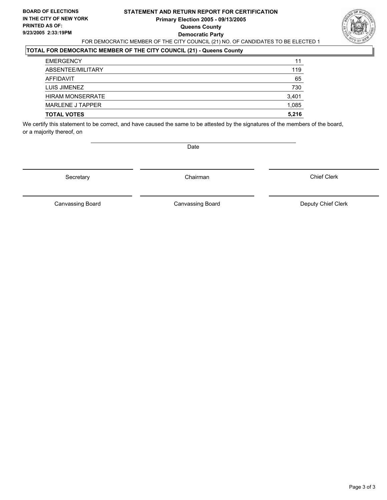### **STATEMENT AND RETURN REPORT FOR CERTIFICATION Primary Election 2005 - 09/13/2005 Queens County Democratic Party** FOR DEMOCRATIC MEMBER OF THE CITY COUNCIL (21) NO. OF CANDIDATES TO BE ELECTED 1



# **TOTAL FOR DEMOCRATIC MEMBER OF THE CITY COUNCIL (21) - Queens County**

| <b>EMERGENCY</b>        | 11    |
|-------------------------|-------|
| ABSENTEE/MILITARY       | 119   |
| AFFIDAVIT               | 65    |
| LUIS JIMENEZ            | 730   |
| <b>HIRAM MONSERRATE</b> | 3,401 |
| MARLENE J TAPPER        | 1,085 |
| <b>TOTAL VOTES</b>      | 5,216 |

We certify this statement to be correct, and have caused the same to be attested by the signatures of the members of the board, or a majority thereof, on

Date

Secretary **Chairman** 

Chief Clerk

Canvassing Board **Canvassing Board** Canvassing Board **Deputy Chief Clerk** 

Canvassing Board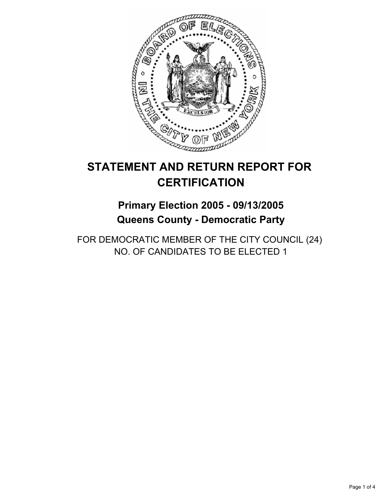

# **Primary Election 2005 - 09/13/2005 Queens County - Democratic Party**

FOR DEMOCRATIC MEMBER OF THE CITY COUNCIL (24) NO. OF CANDIDATES TO BE ELECTED 1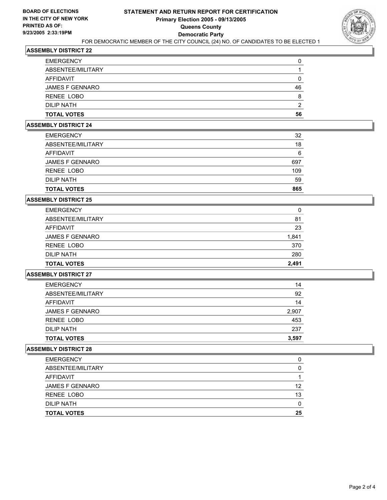

| <b>TOTAL VOTES</b>     | 56 |
|------------------------|----|
| <b>DILIP NATH</b>      | ◠  |
| RENEE LOBO             |    |
| <b>JAMES F GENNARO</b> | 46 |
| <b>AFFIDAVIT</b>       |    |
| ABSENTEE/MILITARY      |    |
| <b>EMERGENCY</b>       |    |

#### **ASSEMBLY DISTRICT 24**

| <b>TOTAL VOTES</b>     | 865 |
|------------------------|-----|
| DILIP NATH             | 59  |
| RENEE LOBO             | 109 |
| <b>JAMES F GENNARO</b> | 697 |
| AFFIDAVIT              | 6   |
| ABSENTEE/MILITARY      | 18  |
| <b>EMERGENCY</b>       | 32  |

#### **ASSEMBLY DISTRICT 25**

| <b>EMERGENCY</b>       | 0     |
|------------------------|-------|
| ABSENTEE/MILITARY      | 81    |
| AFFIDAVIT              | 23    |
| <b>JAMES F GENNARO</b> | 1,841 |
| RENEE LOBO             | 370   |
| <b>DILIP NATH</b>      | 280   |
| <b>TOTAL VOTES</b>     | 2,491 |

# **ASSEMBLY DISTRICT 27**

| <b>JAMES F GENNARO</b> | 14<br>2,907 |
|------------------------|-------------|
| RENEE LOBO             | 453         |
| <b>DILIP NATH</b>      | 237         |
| <b>TOTAL VOTES</b>     | 3,597       |

| <b>EMERGENCY</b>       |    |
|------------------------|----|
| ABSENTEE/MILITARY      |    |
| AFFIDAVIT              |    |
| <b>JAMES F GENNARO</b> | 12 |
| RENEE LOBO             | 13 |
| DILIP NATH             |    |
| <b>TOTAL VOTES</b>     | 25 |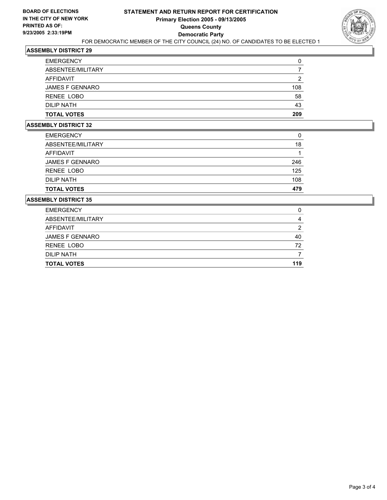

| <b>TOTAL VOTES</b>     | 209 |
|------------------------|-----|
| DILIP NATH             | 43  |
| RENEE LOBO             | 58  |
| <b>JAMES F GENNARO</b> | 108 |
| AFFIDAVIT              |     |
| ABSENTEE/MILITARY      |     |
| <b>EMERGENCY</b>       |     |

#### **ASSEMBLY DISTRICT 32**

| <b>TOTAL VOTES</b>     | 479 |
|------------------------|-----|
| <b>DILIP NATH</b>      | 108 |
| RENEE LOBO             | 125 |
| <b>JAMES F GENNARO</b> | 246 |
| AFFIDAVIT              |     |
| ABSENTEE/MILITARY      | 18  |
| <b>EMERGENCY</b>       | 0   |

| <b>EMERGENCY</b>       |     |
|------------------------|-----|
| ABSENTEE/MILITARY      |     |
| AFFIDAVIT              |     |
| <b>JAMES F GENNARO</b> | 40  |
| RENEE LOBO             | 72  |
| DILIP NATH             |     |
| <b>TOTAL VOTES</b>     | 119 |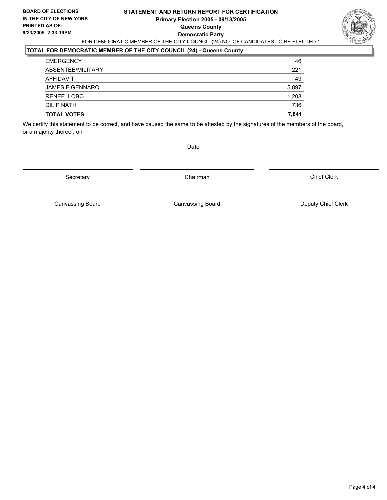### **STATEMENT AND RETURN REPORT FOR CERTIFICATION Primary Election 2005 - 09/13/2005 Queens County Democratic Party** FOR DEMOCRATIC MEMBER OF THE CITY COUNCIL (24) NO. OF CANDIDATES TO BE ELECTED 1



# **TOTAL FOR DEMOCRATIC MEMBER OF THE CITY COUNCIL (24) - Queens County**

| <b>EMERGENCY</b>       | 46    |
|------------------------|-------|
| ABSENTEE/MILITARY      | 221   |
| AFFIDAVIT              | 49    |
| <b>JAMES F GENNARO</b> | 5,897 |
| RENEE LOBO             | 1,208 |
| <b>DILIP NATH</b>      | 736   |
| <b>TOTAL VOTES</b>     | 7,841 |

We certify this statement to be correct, and have caused the same to be attested by the signatures of the members of the board, or a majority thereof, on

Date

Secretary **Chairman** 

Chief Clerk

Canvassing Board **Canvassing Board** Canvassing Board **Deputy Chief Clerk** 

Canvassing Board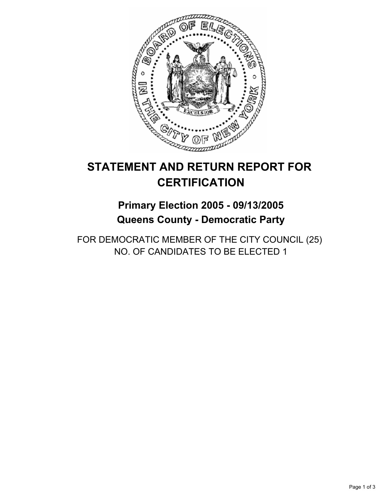

# **Primary Election 2005 - 09/13/2005 Queens County - Democratic Party**

FOR DEMOCRATIC MEMBER OF THE CITY COUNCIL (25) NO. OF CANDIDATES TO BE ELECTED 1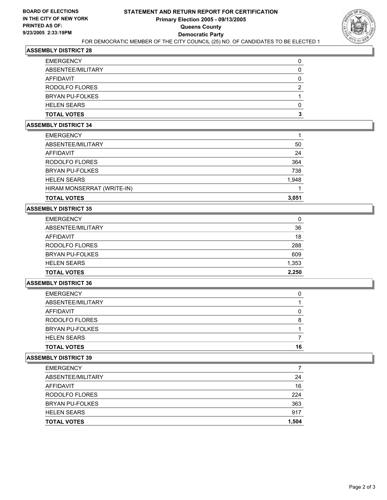

| <b>EMERGENCY</b>       |  |
|------------------------|--|
| ABSENTEE/MILITARY      |  |
| <b>AFFIDAVIT</b>       |  |
| RODOLFO FLORES         |  |
| <b>BRYAN PU-FOLKES</b> |  |
| <b>HELEN SEARS</b>     |  |
| <b>TOTAL VOTES</b>     |  |

#### **ASSEMBLY DISTRICT 34**

| 50    |
|-------|
| 24    |
| 364   |
| 738   |
| 1,948 |
|       |
| 3,051 |
|       |

#### **ASSEMBLY DISTRICT 35**

| <b>EMERGENCY</b>       | 0     |
|------------------------|-------|
| ABSENTEE/MILITARY      | 36    |
| AFFIDAVIT              | 18    |
| RODOLFO FLORES         | 288   |
| <b>BRYAN PU-FOLKES</b> | 609   |
| <b>HELEN SEARS</b>     | 1,353 |
| <b>TOTAL VOTES</b>     | 2,250 |

#### **ASSEMBLY DISTRICT 36**

| <b>EMERGENCY</b>       |    |
|------------------------|----|
| ABSENTEE/MILITARY      |    |
| AFFIDAVIT              |    |
| RODOLFO FLORES         |    |
| <b>BRYAN PU-FOLKES</b> |    |
| <b>HELEN SEARS</b>     |    |
| <b>TOTAL VOTES</b>     | 16 |

| <b>EMERGENCY</b>       |       |
|------------------------|-------|
| ABSENTEE/MILITARY      | 24    |
| AFFIDAVIT              | 16    |
| RODOLFO FLORES         | 224   |
| <b>BRYAN PU-FOLKES</b> | 363   |
| <b>HELEN SEARS</b>     | 917   |
| <b>TOTAL VOTES</b>     | 1,504 |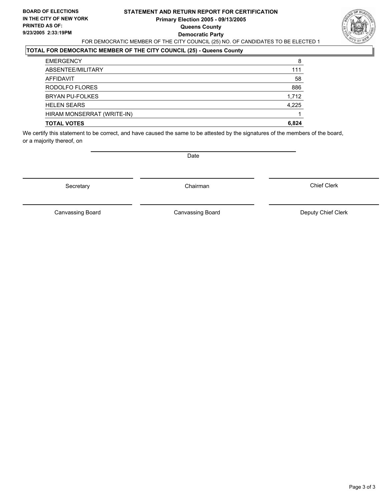### **STATEMENT AND RETURN REPORT FOR CERTIFICATION Primary Election 2005 - 09/13/2005 Queens County Democratic Party** FOR DEMOCRATIC MEMBER OF THE CITY COUNCIL (25) NO. OF CANDIDATES TO BE ELECTED 1



# **TOTAL FOR DEMOCRATIC MEMBER OF THE CITY COUNCIL (25) - Queens County**

| <b>EMERGENCY</b>           | 8     |
|----------------------------|-------|
| ABSENTEE/MILITARY          | 111   |
| AFFIDAVIT                  | 58    |
| RODOLFO FLORES             | 886   |
| <b>BRYAN PU-FOLKES</b>     | 1,712 |
| <b>HELEN SEARS</b>         | 4,225 |
| HIRAM MONSERRAT (WRITE-IN) |       |
| <b>TOTAL VOTES</b>         | 6,824 |

We certify this statement to be correct, and have caused the same to be attested by the signatures of the members of the board, or a majority thereof, on

Secretary **Chairman** 

Date

Chief Clerk

Canvassing Board

Canvassing Board **Canvassing Board** Canvassing Board **Deputy Chief Clerk**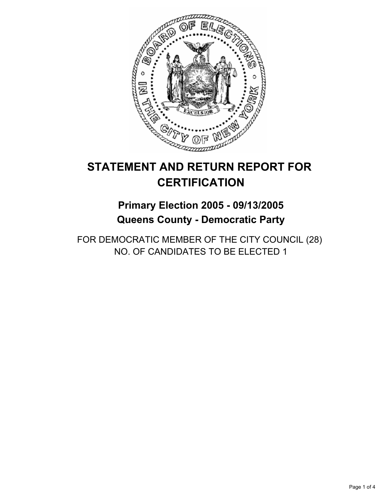

# **Primary Election 2005 - 09/13/2005 Queens County - Democratic Party**

FOR DEMOCRATIC MEMBER OF THE CITY COUNCIL (28) NO. OF CANDIDATES TO BE ELECTED 1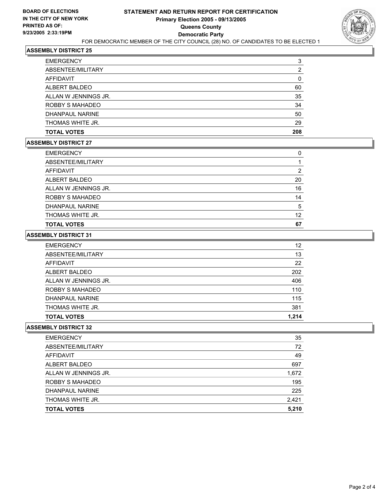

| <b>EMERGENCY</b>     | 3   |
|----------------------|-----|
| ABSENTEE/MILITARY    |     |
| AFFIDAVIT            |     |
| ALBERT BALDEO        | 60  |
| ALLAN W JENNINGS JR. | 35  |
| ROBBY S MAHADEO      | 34  |
| DHANPAUL NARINE      | 50  |
| THOMAS WHITE JR.     | 29  |
| <b>TOTAL VOTES</b>   | 208 |

#### **ASSEMBLY DISTRICT 27**

| <b>EMERGENCY</b>     |    |
|----------------------|----|
| ABSENTEE/MILITARY    |    |
| AFFIDAVIT            |    |
| ALBERT BALDEO        | 20 |
| ALLAN W JENNINGS JR. | 16 |
| ROBBY S MAHADEO      | 14 |
| DHANPAUL NARINE      | 5  |
| THOMAS WHITE JR.     | 12 |
| <b>TOTAL VOTES</b>   | 67 |

#### **ASSEMBLY DISTRICT 31**

| <b>EMERGENCY</b>     | 12    |
|----------------------|-------|
| ABSENTEE/MILITARY    | 13    |
| AFFIDAVIT            | 22    |
| ALBERT BALDEO        | 202   |
| ALLAN W JENNINGS JR. | 406   |
| ROBBY S MAHADEO      | 110   |
| DHANPAUL NARINE      | 115   |
| THOMAS WHITE JR.     | 381   |
| <b>TOTAL VOTES</b>   | 1.214 |

| 35    |
|-------|
| 72    |
| 49    |
| 697   |
| 1,672 |
| 195   |
| 225   |
| 2,421 |
| 5,210 |
|       |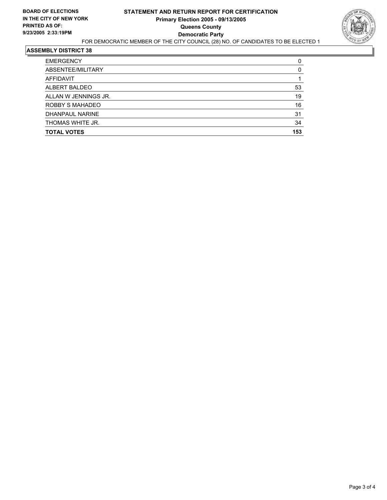

| <b>EMERGENCY</b>     |     |
|----------------------|-----|
| ABSENTEE/MILITARY    |     |
| AFFIDAVIT            |     |
| ALBERT BALDEO        | 53  |
| ALLAN W JENNINGS JR. | 19  |
| ROBBY S MAHADEO      | 16  |
| DHANPAUL NARINE      | 31  |
| THOMAS WHITE JR.     | 34  |
| <b>TOTAL VOTES</b>   | 153 |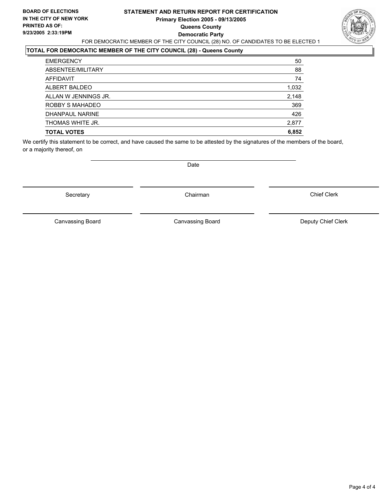### **STATEMENT AND RETURN REPORT FOR CERTIFICATION Primary Election 2005 - 09/13/2005 Queens County Democratic Party** FOR DEMOCRATIC MEMBER OF THE CITY COUNCIL (28) NO. OF CANDIDATES TO BE ELECTED 1



# **TOTAL FOR DEMOCRATIC MEMBER OF THE CITY COUNCIL (28) - Queens County**

| <b>EMERGENCY</b>     | 50    |
|----------------------|-------|
| ABSENTEE/MILITARY    | 88    |
| <b>AFFIDAVIT</b>     | 74    |
| ALBERT BALDEO        | 1,032 |
| ALLAN W JENNINGS JR. | 2,148 |
| ROBBY S MAHADEO      | 369   |
| DHANPAUL NARINE      | 426   |
| THOMAS WHITE JR.     | 2,877 |
| <b>TOTAL VOTES</b>   | 6,852 |

We certify this statement to be correct, and have caused the same to be attested by the signatures of the members of the board, or a majority thereof, on

Secretary **Chairman** 

Date

Chief Clerk

Canvassing Board

Canvassing Board **Canvassing Board** Canvassing Board **Deputy Chief Clerk**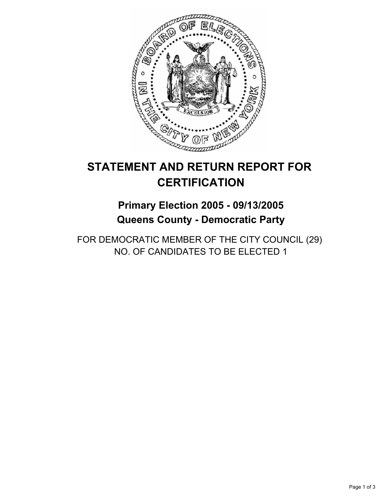

# **Primary Election 2005 - 09/13/2005 Queens County - Democratic Party**

FOR DEMOCRATIC MEMBER OF THE CITY COUNCIL (29) NO. OF CANDIDATES TO BE ELECTED 1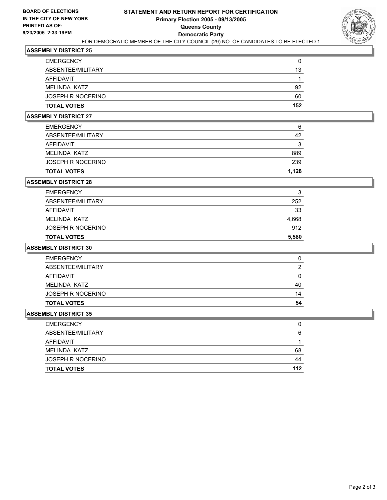

| <b>TOTAL VOTES</b>       | 152 |
|--------------------------|-----|
| <b>JOSEPH R NOCERINO</b> | 60  |
| MELINDA KATZ             | 92  |
| AFFIDAVIT                |     |
| ABSENTEE/MILITARY        | 13  |
| <b>EMERGENCY</b>         |     |

#### **ASSEMBLY DISTRICT 27**

| <b>TOTAL VOTES</b>       | 1,128 |
|--------------------------|-------|
| <b>JOSEPH R NOCERINO</b> | 239   |
| MELINDA KATZ             | 889   |
| AFFIDAVIT                | ິ     |
| ABSENTEE/MILITARY        | 42    |
| <b>EMERGENCY</b>         | 6     |

#### **ASSEMBLY DISTRICT 28**

| <b>TOTAL VOTES</b> | 5,580 |
|--------------------|-------|
| JOSEPH R NOCERINO  | 912   |
| MELINDA KATZ       | 4,668 |
| AFFIDAVIT          | 33    |
| ABSENTEE/MILITARY  | 252   |
| <b>EMERGENCY</b>   | 3     |

#### **ASSEMBLY DISTRICT 30**

| <b>EMERGENCY</b>   | O  |
|--------------------|----|
| ABSENTEE/MILITARY  | Ω  |
| AFFIDAVIT          |    |
| MELINDA KATZ       | 40 |
| JOSEPH R NOCERINO  | 14 |
| <b>TOTAL VOTES</b> | 54 |

| <b>EMERGENCY</b>   |     |
|--------------------|-----|
| ABSENTEE/MILITARY  | 6   |
| AFFIDAVIT          |     |
| MELINDA KATZ       | 68  |
| JOSEPH R NOCERINO  | 44  |
| <b>TOTAL VOTES</b> | 112 |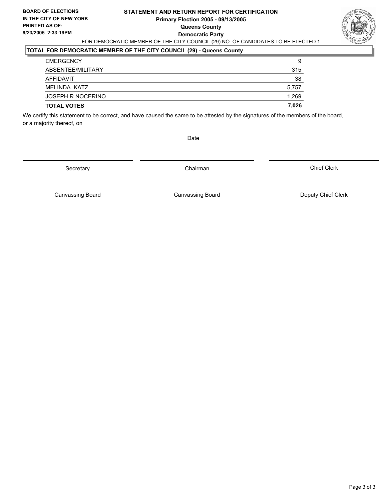### **STATEMENT AND RETURN REPORT FOR CERTIFICATION Primary Election 2005 - 09/13/2005 Queens County Democratic Party** FOR DEMOCRATIC MEMBER OF THE CITY COUNCIL (29) NO. OF CANDIDATES TO BE ELECTED 1



# **TOTAL FOR DEMOCRATIC MEMBER OF THE CITY COUNCIL (29) - Queens County**

| <b>EMERGENCY</b>   | 9     |
|--------------------|-------|
| ABSENTEE/MILITARY  | 315   |
| AFFIDAVIT          | 38    |
| MELINDA KATZ       | 5,757 |
| JOSEPH R NOCERINO  | 1,269 |
| <b>TOTAL VOTES</b> | 7,026 |

We certify this statement to be correct, and have caused the same to be attested by the signatures of the members of the board, or a majority thereof, on

Date

Secretary Chairman

Canvassing Board **Canvassing Board** Canvassing Board **Deputy Chief Clerk** 

Canvassing Board

Chief Clerk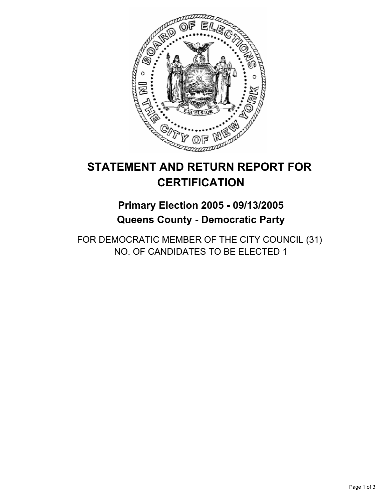

# **Primary Election 2005 - 09/13/2005 Queens County - Democratic Party**

FOR DEMOCRATIC MEMBER OF THE CITY COUNCIL (31) NO. OF CANDIDATES TO BE ELECTED 1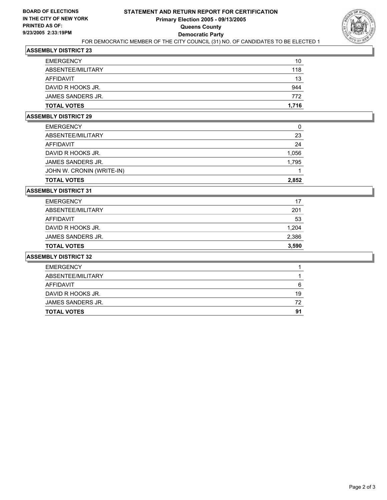

| <b>TOTAL VOTES</b> | 1,716 |
|--------------------|-------|
| JAMES SANDERS JR.  | 772   |
| DAVID R HOOKS JR.  | 944   |
| AFFIDAVIT          | 13    |
| ABSENTEE/MILITARY  | 118   |
| <b>EMERGENCY</b>   | 10    |

### **ASSEMBLY DISTRICT 29**

| <b>TOTAL VOTES</b>        | 2.852 |
|---------------------------|-------|
| JOHN W. CRONIN (WRITE-IN) |       |
| JAMES SANDERS JR.         | 1,795 |
| DAVID R HOOKS JR.         | 1,056 |
| AFFIDAVIT                 | 24    |
| ABSENTEE/MILITARY         | 23    |
| <b>EMERGENCY</b>          | 0     |

# **ASSEMBLY DISTRICT 31**

| <b>TOTAL VOTES</b> | 3,590 |
|--------------------|-------|
| JAMES SANDERS JR.  | 2,386 |
| DAVID R HOOKS JR.  | 1,204 |
| AFFIDAVIT          | 53    |
| ABSENTEE/MILITARY  | 201   |
| <b>EMERGENCY</b>   | 17    |

| <b>TOTAL VOTES</b> | 91 |
|--------------------|----|
| JAMES SANDERS JR.  | 72 |
| DAVID R HOOKS JR.  | 19 |
| AFFIDAVIT          | 6  |
| ABSENTEE/MILITARY  |    |
| <b>EMERGENCY</b>   |    |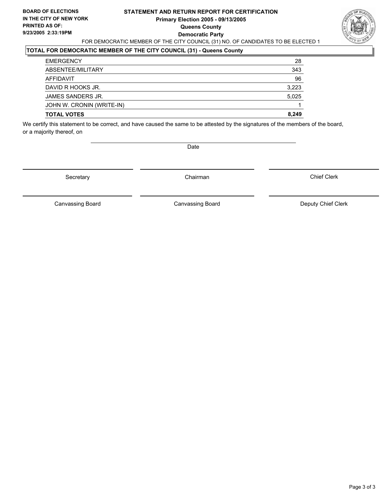### **STATEMENT AND RETURN REPORT FOR CERTIFICATION Primary Election 2005 - 09/13/2005 Queens County Democratic Party** FOR DEMOCRATIC MEMBER OF THE CITY COUNCIL (31) NO. OF CANDIDATES TO BE ELECTED 1



# **TOTAL FOR DEMOCRATIC MEMBER OF THE CITY COUNCIL (31) - Queens County**

| <b>EMERGENCY</b>          | 28    |
|---------------------------|-------|
| ABSENTEE/MILITARY         | 343   |
| AFFIDAVIT                 | 96    |
| DAVID R HOOKS JR.         | 3,223 |
| JAMES SANDERS JR.         | 5,025 |
| JOHN W. CRONIN (WRITE-IN) |       |
| <b>TOTAL VOTES</b>        | 8,249 |
|                           |       |

We certify this statement to be correct, and have caused the same to be attested by the signatures of the members of the board, or a majority thereof, on

Date

Secretary **Chairman** 

Chief Clerk

Canvassing Board **Canvassing Board** Canvassing Board **Deputy Chief Clerk** 

Canvassing Board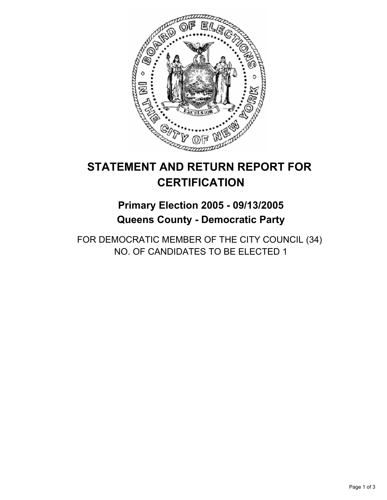

# **Primary Election 2005 - 09/13/2005 Queens County - Democratic Party**

FOR DEMOCRATIC MEMBER OF THE CITY COUNCIL (34) NO. OF CANDIDATES TO BE ELECTED 1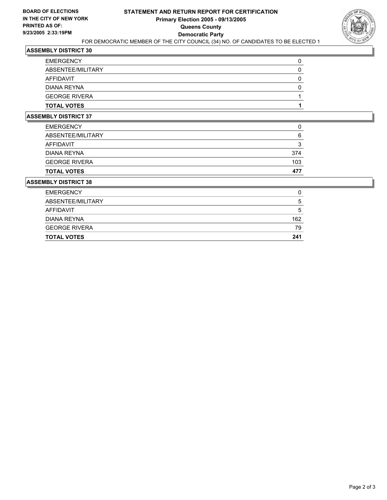

| <b>EMERGENCY</b>     |  |
|----------------------|--|
| ABSENTEE/MILITARY    |  |
| AFFIDAVIT            |  |
| DIANA REYNA          |  |
| <b>GEORGE RIVERA</b> |  |
| <b>TOTAL VOTES</b>   |  |

### **ASSEMBLY DISTRICT 37**

| <b>TOTAL VOTES</b>   | 477 |
|----------------------|-----|
| <b>GEORGE RIVERA</b> | 103 |
| DIANA REYNA          | 374 |
| <b>AFFIDAVIT</b>     | ◠   |
| ABSENTEE/MILITARY    | 6   |
| <b>EMERGENCY</b>     |     |

| <b>EMERGENCY</b>     |     |
|----------------------|-----|
| ABSENTEE/MILITARY    | b   |
| AFFIDAVIT            | h   |
| DIANA REYNA          | 162 |
| <b>GEORGE RIVERA</b> | 79  |
| <b>TOTAL VOTES</b>   | 241 |